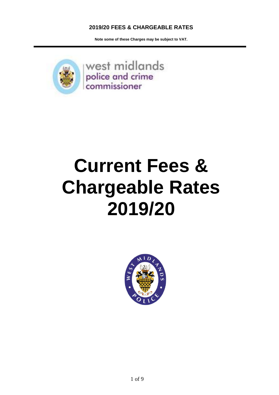**Note some of these Charges may be subject to VAT.** 



# **Current Fees & Chargeable Rates 2019/20**

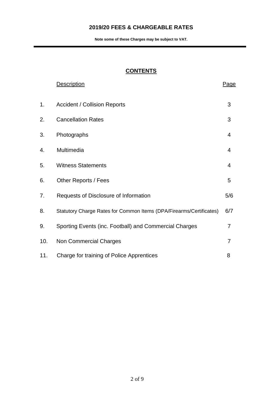**Note some of these Charges may be subject to VAT.** 

# **CONTENTS**

|     | <b>Description</b>                                                  | <u>Page</u> |
|-----|---------------------------------------------------------------------|-------------|
| 1.  | <b>Accident / Collision Reports</b>                                 | 3           |
| 2.  | <b>Cancellation Rates</b>                                           | 3           |
| 3.  | Photographs                                                         | 4           |
| 4.  | Multimedia                                                          | 4           |
| 5.  | <b>Witness Statements</b>                                           | 4           |
| 6.  | Other Reports / Fees                                                | 5           |
| 7.  | Requests of Disclosure of Information                               | 5/6         |
| 8.  | Statutory Charge Rates for Common Items (DPA/Firearms/Certificates) | 6/7         |
| 9.  | Sporting Events (inc. Football) and Commercial Charges              | 7           |
| 10. | <b>Non Commercial Charges</b>                                       | 7           |
| 11. | Charge for training of Police Apprentices                           | 8           |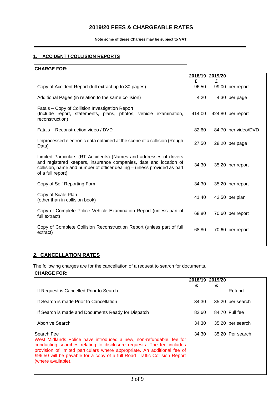**Note some of these Charges may be subject to VAT.** 

#### **1. ACCIDENT / COLLISION REPORTS**

| <b>CHARGE FOR:</b>                                                                                                                                                                                                                      |            |                 |                     |
|-----------------------------------------------------------------------------------------------------------------------------------------------------------------------------------------------------------------------------------------|------------|-----------------|---------------------|
|                                                                                                                                                                                                                                         |            | 2018/19 2019/20 |                     |
| Copy of Accident Report (full extract up to 30 pages)                                                                                                                                                                                   | £<br>96.50 | £               | 99.00 per report    |
| Additional Pages (in relation to the same collision)                                                                                                                                                                                    | 4.20       |                 | 4.30 per page       |
| Fatals - Copy of Collision Investigation Report<br>(Include report, statements, plans, photos, vehicle examination,<br>reconstruction)                                                                                                  | 414.00     |                 | 424.80 per report   |
| Fatals – Reconstruction video / DVD                                                                                                                                                                                                     | 82.60      |                 | 84.70 per video/DVD |
| Unprocessed electronic data obtained at the scene of a collision (Rough<br>Data)                                                                                                                                                        | 27.50      |                 | 28.20 per page      |
| Limited Particulars (RT Accidents) (Names and addresses of drivers<br>and registered keepers, insurance companies, date and location of<br>collision, name and number of officer dealing - unless provided as part<br>of a full report) | 34.30      |                 | 35.20 per report    |
| Copy of Self Reporting Form                                                                                                                                                                                                             | 34.30      |                 | 35.20 per report    |
| Copy of Scale Plan<br>(other than in collision book)                                                                                                                                                                                    | 41.40      |                 | 42.50 per plan      |
| Copy of Complete Police Vehicle Examination Report (unless part of<br>full extract)                                                                                                                                                     | 68.80      |                 | 70.60 per report    |
| Copy of Complete Collision Reconstruction Report (unless part of full<br>extract)                                                                                                                                                       | 68.80      |                 | 70.60 per report    |
|                                                                                                                                                                                                                                         |            |                 |                     |

## **2. CANCELLATION RATES**

The following charges are for the cancellation of a request to search for documents.

| <b>CHARGE FOR:</b>                                                                                                                                                                                                                                                                                                                          |       |                 |                  |
|---------------------------------------------------------------------------------------------------------------------------------------------------------------------------------------------------------------------------------------------------------------------------------------------------------------------------------------------|-------|-----------------|------------------|
|                                                                                                                                                                                                                                                                                                                                             |       | 2018/19 2019/20 |                  |
| If Request is Cancelled Prior to Search                                                                                                                                                                                                                                                                                                     | £     | £               | Refund           |
| If Search is made Prior to Cancellation                                                                                                                                                                                                                                                                                                     | 34.30 |                 | 35.20 per search |
| If Search is made and Documents Ready for Dispatch                                                                                                                                                                                                                                                                                          | 82.60 |                 | 84.70 Full fee   |
| Abortive Search                                                                                                                                                                                                                                                                                                                             | 34.30 |                 | 35.20 per search |
| lSearch Feel<br>West Midlands Police have introduced a new, non-refundable, fee for<br>conducting searches relating to disclosure requests. The fee includes<br>provision of limited particulars where appropriate. An additional fee of<br>£96.50 will be payable for a copy of a full Road Traffic Collision Report<br>(where available). | 34.30 |                 | 35.20 Per search |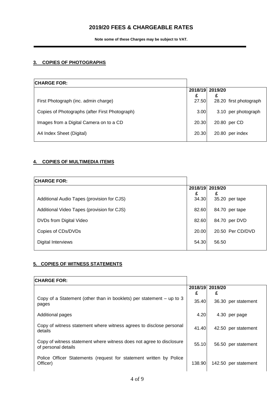**Note some of these Charges may be subject to VAT.** 

#### **3. COPIES OF PHOTOGRAPHS**

| <b>CHARGE FOR:</b>                             |       |                 |                        |
|------------------------------------------------|-------|-----------------|------------------------|
|                                                | £     | 2018/19 2019/20 |                        |
| First Photograph (inc. admin charge)           | 27.50 |                 | 28.20 first photograph |
| Copies of Photographs (after First Photograph) | 3.00  |                 | 3.10 per photograph    |
| Images from a Digital Camera on to a CD        | 20.30 |                 | 20.80 per CD           |
| A4 Index Sheet (Digital)                       | 20.30 |                 | 20.80 per index        |

#### **4. COPIES OF MULTIMEDIA ITEMS**

| <b>CHARGE FOR:</b>                         |            |                 |                  |
|--------------------------------------------|------------|-----------------|------------------|
|                                            |            | 2018/19 2019/20 |                  |
| Additional Audio Tapes (provision for CJS) | £<br>34.30 | £               | 35.20 per tape   |
| Additional Video Tapes (provision for CJS) | 82.60      |                 | 84.70 per tape   |
| DVDs from Digital Video                    | 82.60      |                 | 84.70 per DVD    |
| Copies of CDs/DVDs                         | 20.00      |                 | 20.50 Per CD/DVD |
| Digital Interviews                         | 54.30      | 56.50           |                  |

#### **5. COPIES OF WITNESS STATEMENTS**

| <b>CHARGE FOR:</b>                                                                          |        |                      |                     |
|---------------------------------------------------------------------------------------------|--------|----------------------|---------------------|
|                                                                                             | £      | 2018/19 2019/20<br>£ |                     |
| Copy of a Statement (other than in booklets) per statement – up to 3<br>pages               | 35.40  |                      | 36.30 per statement |
| Additional pages                                                                            | 4.20   |                      | 4.30 per page       |
| Copy of witness statement where witness agrees to disclose personal<br>details              | 41.40  |                      | 42.50 per statement |
| Copy of witness statement where witness does not agree to disclosure<br>of personal details | 55.10  |                      | 56.50 per statement |
| Police Officer Statements (request for statement written by Police<br>Officer)              | 138.90 | 142.50               | per statement       |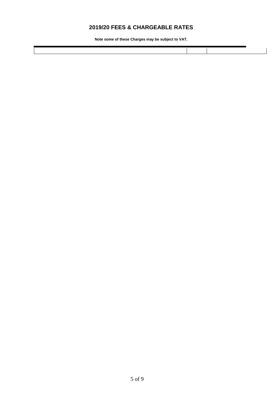**Note some of these Charges may be subject to VAT.**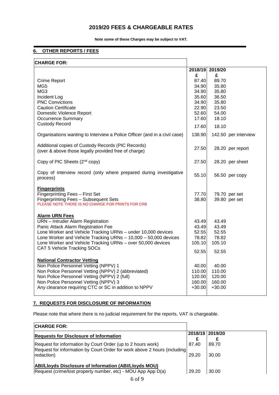**Note some of these Charges may be subject to VAT.** 

#### **6. OTHER REPORTS / FEES**

| <b>CHARGE FOR:</b>                                                                                                                                                                                                                                                                                                                 |                                                             |                                                             |                                |
|------------------------------------------------------------------------------------------------------------------------------------------------------------------------------------------------------------------------------------------------------------------------------------------------------------------------------------|-------------------------------------------------------------|-------------------------------------------------------------|--------------------------------|
|                                                                                                                                                                                                                                                                                                                                    | £                                                           | 2018/19 2019/20<br>£                                        |                                |
| Crime Report<br>MG <sub>5</sub><br>MG3<br>Incident Log<br><b>PNC Convictions</b><br><b>Caution Certificate</b><br><b>Domestic Violence Report</b>                                                                                                                                                                                  | 87.40<br>34.90<br>34.90<br>35.60<br>34.90<br>22.90<br>52.60 | 89.70<br>35.80<br>35.80<br>36.50<br>35.80<br>23.50<br>54.00 |                                |
| <b>Occurrence Summary</b>                                                                                                                                                                                                                                                                                                          | 17.60                                                       | 18.10                                                       |                                |
| <b>Custody Record</b>                                                                                                                                                                                                                                                                                                              | 17.60                                                       | 18.10                                                       |                                |
| Organisations wanting to Interview a Police Officer (and in a civil case)                                                                                                                                                                                                                                                          | 138.90                                                      |                                                             | 142.50 per interview           |
| Additional copies of Custody Records (PIC Records)<br>(over & above those legally provided free of charge)                                                                                                                                                                                                                         | 27.50                                                       |                                                             | 28.20 per report               |
| Copy of PIC Sheets (2 <sup>nd</sup> copy)                                                                                                                                                                                                                                                                                          | 27.50                                                       |                                                             | 28.20 per sheet                |
| Copy of interview record (only where prepared during investigative<br>process)                                                                                                                                                                                                                                                     | 55.10                                                       |                                                             | 56.50 per copy                 |
| <b>Fingerprints</b><br>Fingerprinting Fees - First Set<br>Fingerprinting Fees - Subsequent Sets<br>PLEASE NOTE THERE IS NO CHARGE FOR PRINTS FOR CRB                                                                                                                                                                               | 77.70<br>38.80                                              |                                                             | 79.70 per set<br>39.80 per set |
| <b>Alarm URN Fees</b><br>URN - Intruder Alarm Registration<br>Panic Attack Alarm Registration Fee<br>Lone Worker and Vehicle Tracking URNs - under 10,000 devices<br>Lone Worker and Vehicle Tracking URNs - 10,000 - 50,000 devices<br>Lone Worker and Vehicle Tracking URNs - over 50,000 devices<br>CAT 5 Vehicle Tracking SOCs | 43.49<br>43.49<br>52.55<br>78.82<br>105.10<br>52.55         | 43.49<br>43.49<br>52.55<br>78.82<br>105.10<br>52.55         |                                |
| <b>National Contractor Vetting</b><br>Non Police Personnel Vetting (NPPV) 1<br>Non Police Personnel Vetting (NPPV) 2 (abbreviated)<br>Non Police Personnel Vetting (NPPV) 2 (full)<br>Non Police Personnel Vetting (NPPV) 3<br>Any clearance requiring CTC or SC in addition to NPPV                                               | 40.00<br>110.00<br>120.00<br>160.00<br>$+30.00$             | 40.00<br>110.00<br>120.00<br>160.00<br>$+30.00$             |                                |

#### **7. REQUESTS FOR DISCLOSURE OF INFORMATION**

Please note that where there is no judicial requirement for the reports, VAT is chargeable.

| <b>CHARGE FOR:</b>                                                                                                                       |                 |       |
|------------------------------------------------------------------------------------------------------------------------------------------|-----------------|-------|
| <b>Requests for Disclosure of Information</b>                                                                                            | 2018/19 2019/20 |       |
| Request for information by Court Order (up to 2 hours work)<br>Request for information by Court Order for work above 2 hours (including) | 87.40           | 89.70 |
| redaction)                                                                                                                               | 29.20           | 30.00 |
| <b>ABI/Lioyds Disclosure of Information (ABI/Lioyds MOU)</b><br>Request (crime/lost property number, etc) - MOU App App D(a)             | 29.20           | 30.00 |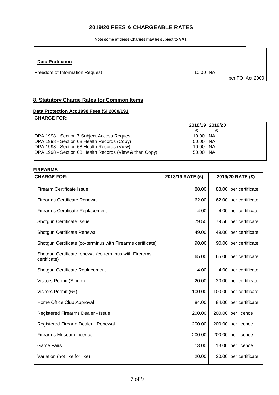**Note some of these Charges may be subject to VAT.** 

| <b>Data Protection</b>         |          |                  |
|--------------------------------|----------|------------------|
| Freedom of Information Request | 10.00 NA | per FOI Act 2000 |

### **8. Statutory Charge Rates for Common Items**

#### **Data Protection Act 1998 Fees (SI 2000/191**

| <b>CHARGE FOR:</b>                                      |              |                 |
|---------------------------------------------------------|--------------|-----------------|
|                                                         |              | 2018/19 2019/20 |
|                                                         |              |                 |
| DPA 1998 - Section 7 Subject Access Request             | $10.00$   NA |                 |
| DPA 1998 - Section 68 Health Records (Copy)             | $50.00$   NA |                 |
| DPA 1998 - Section 68 Health Records (View)             | $10.00$   NA |                 |
| DPA 1998 - Section 68 Health Records (View & then Copy) | $50.00$   NA |                 |
|                                                         |              |                 |

#### **FIREARMS –**

| <b>CHARGE FOR:</b>                                                     | 2018/19 RATE (£) | 2019/20 RATE (£)       |
|------------------------------------------------------------------------|------------------|------------------------|
| <b>Firearm Certificate Issue</b>                                       | 88.00            | 88.00 per certificate  |
| <b>Firearms Certificate Renewal</b>                                    | 62.00            | 62.00 per certificate  |
| <b>Firearms Certificate Replacement</b>                                | 4.00             | 4.00 per certificate   |
| Shotgun Certificate Issue                                              | 79.50            | 79.50 per certificate  |
| Shotgun Certificate Renewal                                            | 49.00            | 49.00 per certificate  |
| Shotgun Certificate (co-terminus with Firearms certificate)            | 90.00            | 90.00 per certificate  |
| Shotgun Certificate renewal (co-terminus with Firearms<br>certificate) | 65.00            | 65.00 per certificate  |
| Shotgun Certificate Replacement                                        | 4.00             | 4.00 per certificate   |
| Visitors Permit (Single)                                               | 20.00            | 20.00 per certificate  |
| Visitors Permit (6+)                                                   | 100.00           | 100.00 per certificate |
| Home Office Club Approval                                              | 84.00            | 84.00 per certificate  |
| Registered Firearms Dealer - Issue                                     | 200.00           | 200.00 per licence     |
| Registered Firearm Dealer - Renewal                                    | 200.00           | 200.00 per licence     |
| <b>Firearms Museum Licence</b>                                         | 200.00           | 200.00 per licence     |
| <b>Game Fairs</b>                                                      | 13.00            | 13.00 per licence      |
| Variation (not like for like)                                          | 20.00            | 20.00 per certificate  |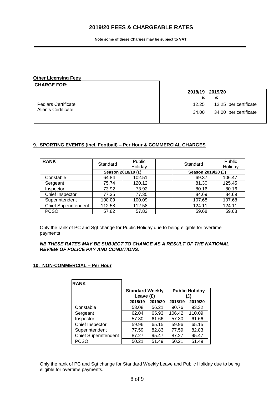**Note some of these Charges may be subject to VAT.** 

| <b>Other Licensing Fees</b> |       |                       |
|-----------------------------|-------|-----------------------|
| <b>CHARGE FOR:</b>          |       |                       |
|                             |       | 2018/19 2019/20       |
|                             |       |                       |
| <b>Pedlars Certificate</b>  | 12.25 | 12.25 per certificate |
| Alien's Certificate         | 34.00 | 34.00 per certificate |
|                             |       |                       |

#### **9. SPORTING EVENTS (incl. Football) – Per Hour & COMMERCIAL CHARGES**

| <b>RANK</b>                 | Standard           | Public<br>Holiday | Standard           | Public<br>Holiday |
|-----------------------------|--------------------|-------------------|--------------------|-------------------|
|                             | Season 2018/19 (£) |                   | Season 2019/20 (£) |                   |
| Constable                   | 64.84              | 102.51            | 69.37              | 106.47            |
| Sergeant                    | 75.74              | 120.12            | 81.30              | 125.45            |
| Inspector                   | 73.92              | 73.92             | 80.16              | 80.16             |
| Chief Inspector             | 77.35              | 77.35             | 84.69              | 84.69             |
| Superintendent              | 100.09             | 100.09            | 107.68             | 107.68            |
| <b>Chief Superintendent</b> | 112.58             | 112.58            | 124.11             | 124.11            |
| <b>PCSO</b>                 | 57.82              | 57.82             | 59.68              | 59.68             |

Only the rank of PC and Sgt change for Public Holiday due to being eligible for overtime payments

#### *NB THESE RATES MAY BE SUBJECT TO CHANGE AS A RESULT OF THE NATIONAL REVIEW OF POLICE PAY AND CONDITIONS.*

#### **10. NON-COMMERCIAL – Per Hour**

Ē

| <b>RANK</b>                 |                                       |         |                             |         |
|-----------------------------|---------------------------------------|---------|-----------------------------|---------|
|                             | <b>Standard Weekly</b><br>Leave $(E)$ |         | <b>Public Holiday</b><br>E) |         |
|                             | 2018/19                               | 2019/20 | 2018/19                     | 2019/20 |
| Constable                   | 53.08                                 | 56.21   | 90.76                       | 93.32   |
| Sergeant                    | 62.04                                 | 65.93   | 106.42                      | 110.09  |
| Inspector                   | 57.30                                 | 61.66   | 57.30                       | 61.66   |
| Chief Inspector             | 59.96                                 | 65.15   | 59.96                       | 65.15   |
| Superintendent              | 77.59                                 | 82.83   | 77.59                       | 82.83   |
| <b>Chief Superintendent</b> | 87.27                                 | 95.47   | 87.27                       | 95.47   |
| <b>PCSO</b>                 | 50.21                                 | 51.49   | 50.21                       | 51.49   |

Only the rank of PC and Sgt change for Standard Weekly Leave and Public Holiday due to being eligible for overtime payments.